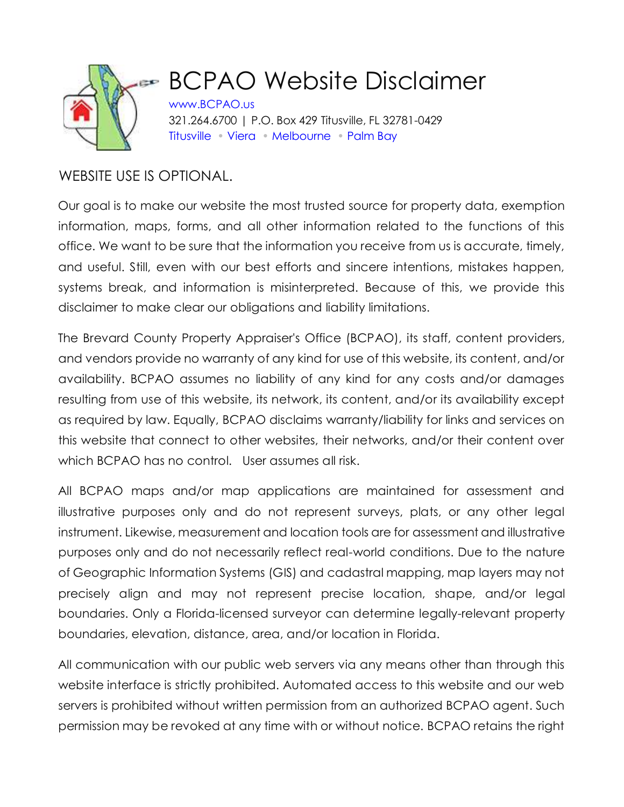

## BCPAO Website Disclaimer

[www.BCPAO.us](http://www.bcpao.us/) 321.264.6700 | P.O. Box 429 Titusville, FL 32781-0429 [Titusville](https://www.bcpao.us/ContactUs.aspx?t=1.4) [•](https://www.bcpao.us/ContactUs.aspx?t=location) [Viera](https://www.bcpao.us/ContactUs.aspx?t=1.4) • [Melbourne](https://www.bcpao.us/ContactUs.aspx?t=1.4) • [Palm Bay](https://www.bcpao.us/ContactUs.aspx?t=1.4)

## WEBSITE USE IS OPTIONAL.

Our goal is to make our website the most trusted source for property data, exemption information, maps, forms, and all other information related to the functions of this office. We want to be sure that the information you receive from us is accurate, timely, and useful. Still, even with our best efforts and sincere intentions, mistakes happen, systems break, and information is misinterpreted. Because of this, we provide this disclaimer to make clear our obligations and liability limitations.

The Brevard County Property Appraiser's Office (BCPAO), its staff, content providers, and vendors provide no warranty of any kind for use of this website, its content, and/or availability. BCPAO assumes no liability of any kind for any costs and/or damages resulting from use of this website, its network, its content, and/or its availability except as required by law. Equally, BCPAO disclaims warranty/liability for links and services on this website that connect to other websites, their networks, and/or their content over which BCPAO has no control. User assumes all risk.

All BCPAO maps and/or map applications are maintained for assessment and illustrative purposes only and do not represent surveys, plats, or any other legal instrument. Likewise, measurement and location tools are for assessment and illustrative purposes only and do not necessarily reflect real-world conditions. Due to the nature of Geographic Information Systems (GIS) and cadastral mapping, map layers may not precisely align and may not represent precise location, shape, and/or legal boundaries. Only a Florida-licensed surveyor can determine legally-relevant property boundaries, elevation, distance, area, and/or location in Florida.

All communication with our public web servers via any means other than through this website interface is strictly prohibited. Automated access to this website and our web servers is prohibited without written permission from an authorized BCPAO agent. Such permission may be revoked at any time with or without notice. BCPAO retains the right